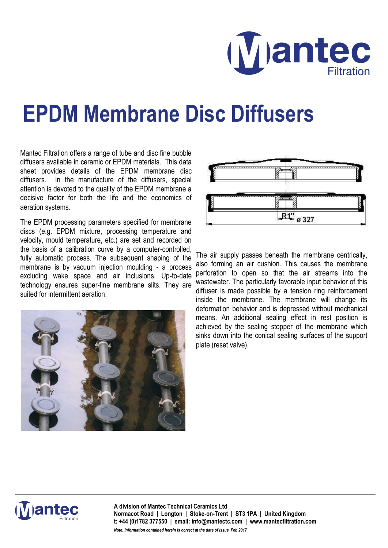

## **EPDM Membrane Disc Diffusers**

Mantec Filtration offers a range of tube and disc fine bubble diffusers available in ceramic or EPDM materials. This data sheet provides details of the EPDM membrane disc diffusers. In the manufacture of the diffusers, special attention is devoted to the quality of the EPDM membrane a decisive factor for both the life and the economics of aeration systems.

The EPDM processing parameters specified for membrane discs (e.g. EPDM mixture, processing temperature and velocity, mould temperature, etc.) are set and recorded on the basis of a calibration curve by a computer-controlled, fully automatic process. The subsequent shaping of the membrane is by vacuum injection moulding - a process excluding wake space and air inclusions. Up-to-date technology ensures super-fine membrane slits. They are suited for intermittent aeration.





The air supply passes beneath the membrane centrically, also forming an air cushion. This causes the membrane perforation to open so that the air streams into the wastewater. The particularly favorable input behavior of this diffuser is made possible by a tension ring reinforcement inside the membrane. The membrane will change its deformation behavior and is depressed without mechanical means. An additional sealing effect in rest position is achieved by the sealing stopper of the membrane which sinks down into the conical sealing surfaces of the support plate (reset valve).